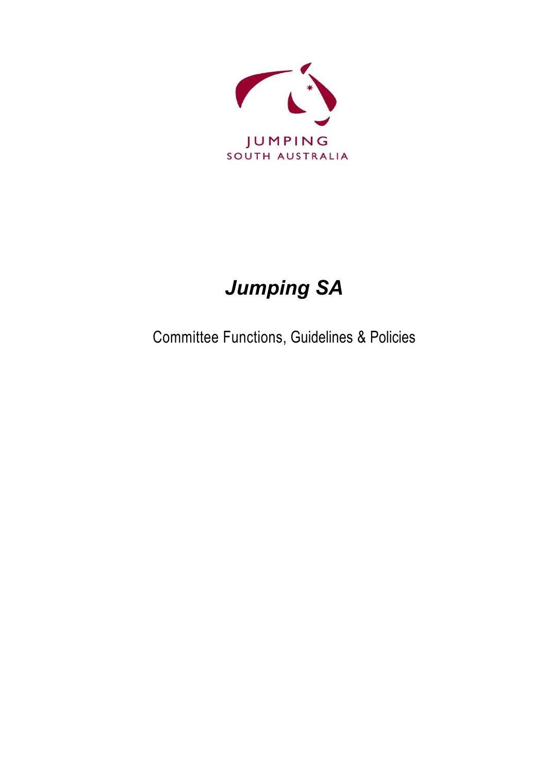

# *Jumping SA*

Committee Functions, Guidelines & Policies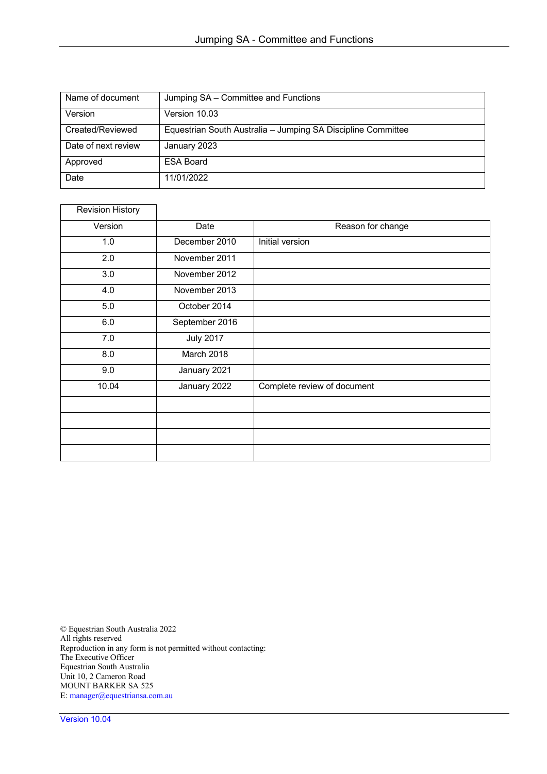| Name of document    | Jumping SA - Committee and Functions                         |
|---------------------|--------------------------------------------------------------|
| Version             | Version 10.03                                                |
| Created/Reviewed    | Equestrian South Australia - Jumping SA Discipline Committee |
| Date of next review | January 2023                                                 |
| Approved            | <b>ESA Board</b>                                             |
| Date                | 11/01/2022                                                   |

| <b>Revision History</b> |                  |                             |
|-------------------------|------------------|-----------------------------|
| Version                 | Date             | Reason for change           |
| 1.0                     | December 2010    | Initial version             |
| 2.0                     | November 2011    |                             |
| 3.0                     | November 2012    |                             |
| 4.0                     | November 2013    |                             |
| 5.0                     | October 2014     |                             |
| 6.0                     | September 2016   |                             |
| 7.0                     | <b>July 2017</b> |                             |
| 8.0                     | March 2018       |                             |
| 9.0                     | January 2021     |                             |
| 10.04                   | January 2022     | Complete review of document |
|                         |                  |                             |
|                         |                  |                             |
|                         |                  |                             |
|                         |                  |                             |

© Equestrian South Australia 2022 All rights reserved Reproduction in any form is not permitted without contacting: The Executive Officer Equestrian South Australia Unit 10, 2 Cameron Road MOUNT BARKER SA 525 E: manager@equestriansa.com.au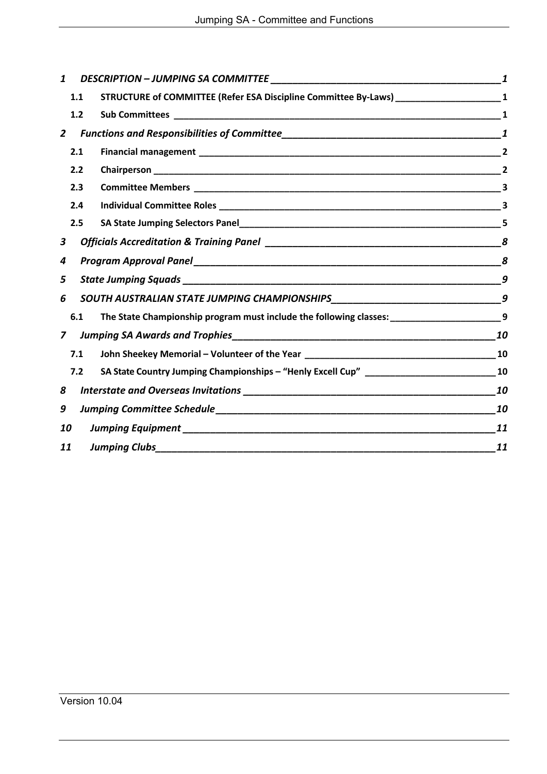| 1.1                        |  |                                                                                                |
|----------------------------|--|------------------------------------------------------------------------------------------------|
| 1.2                        |  |                                                                                                |
|                            |  |                                                                                                |
| 2.1                        |  | $\overline{2}$                                                                                 |
| 2.2                        |  |                                                                                                |
| 2.3                        |  |                                                                                                |
| 2.4                        |  |                                                                                                |
| 2.5                        |  |                                                                                                |
|                            |  |                                                                                                |
| 4                          |  |                                                                                                |
|                            |  | 9                                                                                              |
|                            |  |                                                                                                |
| 6.1                        |  |                                                                                                |
| $\mathbf{z}$               |  |                                                                                                |
| 7.1                        |  |                                                                                                |
| 7.2                        |  |                                                                                                |
| 8                          |  | 10                                                                                             |
| 9                          |  | 10                                                                                             |
| 10                         |  | 11                                                                                             |
| <b>Jumping Clubs</b><br>11 |  | 11                                                                                             |
|                            |  | The State Championship program must include the following classes: __________________________9 |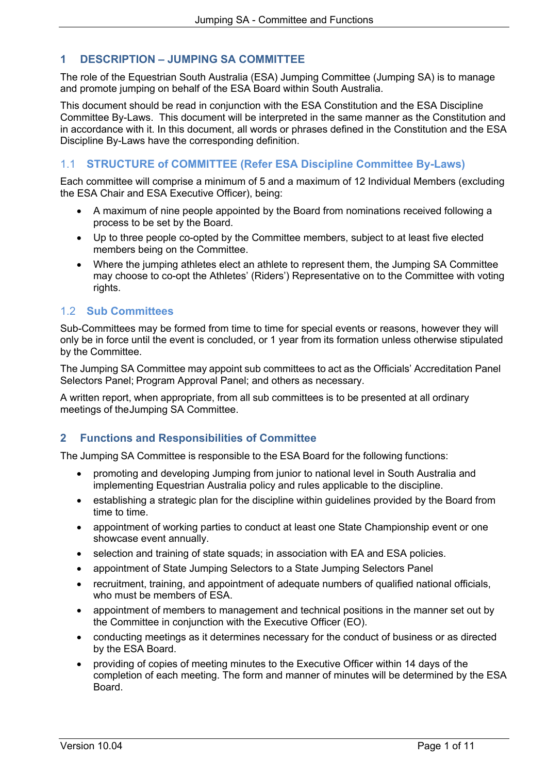# **1 DESCRIPTION – JUMPING SA COMMITTEE**

The role of the Equestrian South Australia (ESA) Jumping Committee (Jumping SA) is to manage and promote jumping on behalf of the ESA Board within South Australia.

This document should be read in conjunction with the ESA Constitution and the ESA Discipline Committee By-Laws. This document will be interpreted in the same manner as the Constitution and in accordance with it. In this document, all words or phrases defined in the Constitution and the ESA Discipline By-Laws have the corresponding definition.

# 1.1 **STRUCTURE of COMMITTEE (Refer ESA Discipline Committee By-Laws)**

Each committee will comprise a minimum of 5 and a maximum of 12 Individual Members (excluding the ESA Chair and ESA Executive Officer), being:

- A maximum of nine people appointed by the Board from nominations received following a process to be set by the Board.
- Up to three people co-opted by the Committee members, subject to at least five elected members being on the Committee.
- Where the jumping athletes elect an athlete to represent them, the Jumping SA Committee may choose to co-opt the Athletes' (Riders') Representative on to the Committee with voting rights.

# 1.2 **Sub Committees**

Sub-Committees may be formed from time to time for special events or reasons, however they will only be in force until the event is concluded, or 1 year from its formation unless otherwise stipulated by the Committee.

The Jumping SA Committee may appoint sub committees to act as the Officials' Accreditation Panel Selectors Panel; Program Approval Panel; and others as necessary.

A written report, when appropriate, from all sub committees is to be presented at all ordinary meetings of theJumping SA Committee.

# **2 Functions and Responsibilities of Committee**

The Jumping SA Committee is responsible to the ESA Board for the following functions:

- promoting and developing Jumping from junior to national level in South Australia and implementing Equestrian Australia policy and rules applicable to the discipline.
- establishing a strategic plan for the discipline within guidelines provided by the Board from time to time.
- appointment of working parties to conduct at least one State Championship event or one showcase event annually.
- selection and training of state squads; in association with EA and ESA policies.
- appointment of State Jumping Selectors to a State Jumping Selectors Panel
- recruitment, training, and appointment of adequate numbers of qualified national officials, who must be members of ESA.
- appointment of members to management and technical positions in the manner set out by the Committee in conjunction with the Executive Officer (EO).
- conducting meetings as it determines necessary for the conduct of business or as directed by the ESA Board.
- providing of copies of meeting minutes to the Executive Officer within 14 days of the completion of each meeting. The form and manner of minutes will be determined by the ESA Board.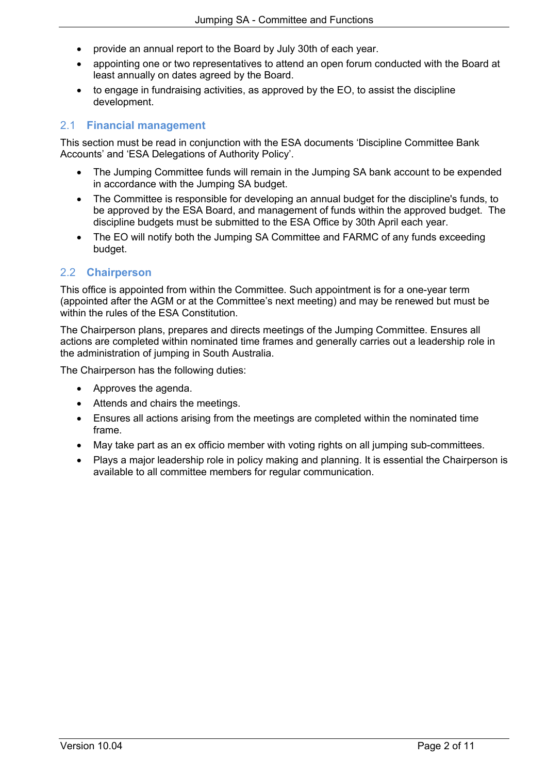- provide an annual report to the Board by July 30th of each year.
- appointing one or two representatives to attend an open forum conducted with the Board at least annually on dates agreed by the Board.
- to engage in fundraising activities, as approved by the EO, to assist the discipline development.

# 2.1 **Financial management**

This section must be read in conjunction with the ESA documents 'Discipline Committee Bank Accounts' and 'ESA Delegations of Authority Policy'.

- The Jumping Committee funds will remain in the Jumping SA bank account to be expended in accordance with the Jumping SA budget.
- The Committee is responsible for developing an annual budget for the discipline's funds, to be approved by the ESA Board, and management of funds within the approved budget. The discipline budgets must be submitted to the ESA Office by 30th April each year.
- The EO will notify both the Jumping SA Committee and FARMC of any funds exceeding budget.

# 2.2 **Chairperson**

This office is appointed from within the Committee. Such appointment is for a one-year term (appointed after the AGM or at the Committee's next meeting) and may be renewed but must be within the rules of the ESA Constitution.

The Chairperson plans, prepares and directs meetings of the Jumping Committee. Ensures all actions are completed within nominated time frames and generally carries out a leadership role in the administration of jumping in South Australia.

The Chairperson has the following duties:

- Approves the agenda.
- Attends and chairs the meetings.
- Ensures all actions arising from the meetings are completed within the nominated time frame.
- May take part as an ex officio member with voting rights on all jumping sub-committees.
- Plays a major leadership role in policy making and planning. It is essential the Chairperson is available to all committee members for regular communication.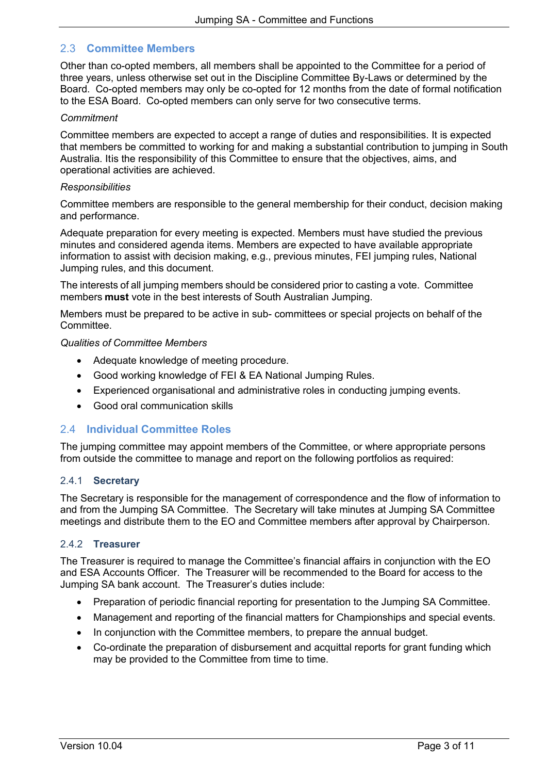## 2.3 **Committee Members**

Other than co-opted members, all members shall be appointed to the Committee for a period of three years, unless otherwise set out in the Discipline Committee By-Laws or determined by the Board. Co-opted members may only be co-opted for 12 months from the date of formal notification to the ESA Board. Co-opted members can only serve for two consecutive terms.

#### *Commitment*

Committee members are expected to accept a range of duties and responsibilities. It is expected that members be committed to working for and making a substantial contribution to jumping in South Australia. Itis the responsibility of this Committee to ensure that the objectives, aims, and operational activities are achieved.

#### *Responsibilities*

Committee members are responsible to the general membership for their conduct, decision making and performance.

Adequate preparation for every meeting is expected. Members must have studied the previous minutes and considered agenda items. Members are expected to have available appropriate information to assist with decision making, e.g., previous minutes, FEI jumping rules, National Jumping rules, and this document.

The interests of all jumping members should be considered prior to casting a vote. Committee members **must** vote in the best interests of South Australian Jumping.

Members must be prepared to be active in sub- committees or special projects on behalf of the **Committee.** 

#### *Qualities of Committee Members*

- Adequate knowledge of meeting procedure.
- Good working knowledge of FEI & EA National Jumping Rules.
- Experienced organisational and administrative roles in conducting jumping events.
- Good oral communication skills

#### 2.4 **Individual Committee Roles**

The jumping committee may appoint members of the Committee, or where appropriate persons from outside the committee to manage and report on the following portfolios as required:

#### 2.4.1 **Secretary**

The Secretary is responsible for the management of correspondence and the flow of information to and from the Jumping SA Committee. The Secretary will take minutes at Jumping SA Committee meetings and distribute them to the EO and Committee members after approval by Chairperson.

#### 2.4.2 **Treasurer**

The Treasurer is required to manage the Committee's financial affairs in conjunction with the EO and ESA Accounts Officer. The Treasurer will be recommended to the Board for access to the Jumping SA bank account. The Treasurer's duties include:

- Preparation of periodic financial reporting for presentation to the Jumping SA Committee.
- Management and reporting of the financial matters for Championships and special events.
- In conjunction with the Committee members, to prepare the annual budget.
- Co-ordinate the preparation of disbursement and acquittal reports for grant funding which may be provided to the Committee from time to time.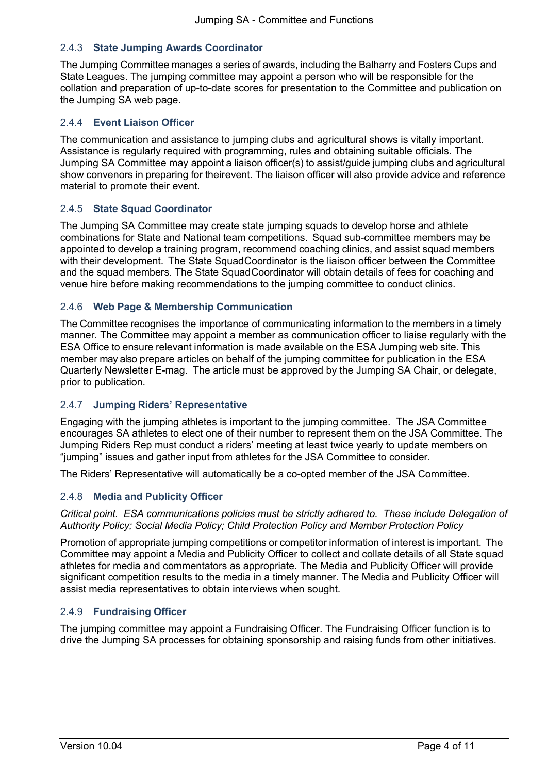## 2.4.3 **State Jumping Awards Coordinator**

The Jumping Committee manages a series of awards, including the Balharry and Fosters Cups and State Leagues. The jumping committee may appoint a person who will be responsible for the collation and preparation of up-to-date scores for presentation to the Committee and publication on the Jumping SA web page.

### 2.4.4 **Event Liaison Officer**

The communication and assistance to jumping clubs and agricultural shows is vitally important. Assistance is regularly required with programming, rules and obtaining suitable officials. The Jumping SA Committee may appoint a liaison officer(s) to assist/guide jumping clubs and agricultural show convenors in preparing for theirevent. The liaison officer will also provide advice and reference material to promote their event.

#### 2.4.5 **State Squad Coordinator**

The Jumping SA Committee may create state jumping squads to develop horse and athlete combinations for State and National team competitions. Squad sub-committee members may be appointed to develop a training program, recommend coaching clinics, and assist squad members with their development. The State SquadCoordinator is the liaison officer between the Committee and the squad members. The State SquadCoordinator will obtain details of fees for coaching and venue hire before making recommendations to the jumping committee to conduct clinics.

### 2.4.6 **Web Page & Membership Communication**

The Committee recognises the importance of communicating information to the members in a timely manner. The Committee may appoint a member as communication officer to liaise regularly with the ESA Office to ensure relevant information is made available on the ESA Jumping web site. This member may also prepare articles on behalf of the jumping committee for publication in the ESA Quarterly Newsletter E-mag. The article must be approved by the Jumping SA Chair, or delegate, prior to publication.

#### 2.4.7 **Jumping Riders' Representative**

Engaging with the jumping athletes is important to the jumping committee. The JSA Committee encourages SA athletes to elect one of their number to represent them on the JSA Committee. The Jumping Riders Rep must conduct a riders' meeting at least twice yearly to update members on "jumping" issues and gather input from athletes for the JSA Committee to consider.

The Riders' Representative will automatically be a co-opted member of the JSA Committee.

#### 2.4.8 **Media and Publicity Officer**

*Critical point. ESA communications policies must be strictly adhered to. These include Delegation of Authority Policy; Social Media Policy; Child Protection Policy and Member Protection Policy*

Promotion of appropriate jumping competitions or competitor information of interest is important. The Committee may appoint a Media and Publicity Officer to collect and collate details of all State squad athletes for media and commentators as appropriate. The Media and Publicity Officer will provide significant competition results to the media in a timely manner. The Media and Publicity Officer will assist media representatives to obtain interviews when sought.

#### 2.4.9 **Fundraising Officer**

The jumping committee may appoint a Fundraising Officer. The Fundraising Officer function is to drive the Jumping SA processes for obtaining sponsorship and raising funds from other initiatives.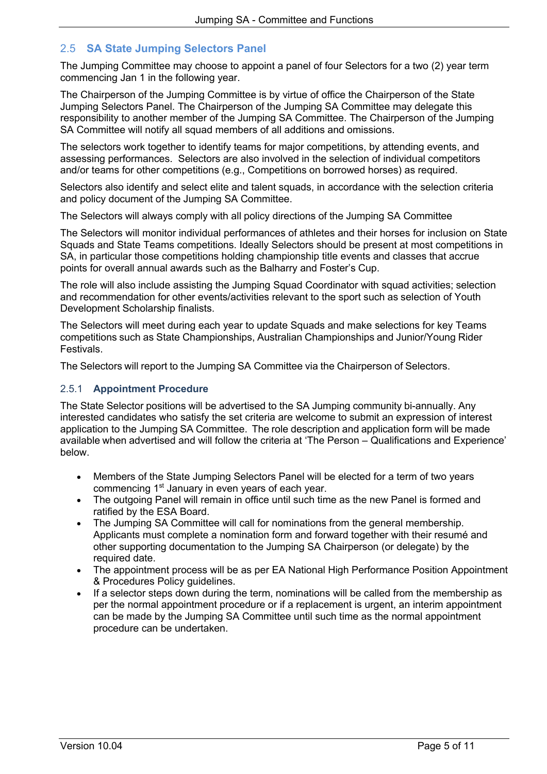# 2.5 **SA State Jumping Selectors Panel**

The Jumping Committee may choose to appoint a panel of four Selectors for a two (2) year term commencing Jan 1 in the following year.

The Chairperson of the Jumping Committee is by virtue of office the Chairperson of the State Jumping Selectors Panel. The Chairperson of the Jumping SA Committee may delegate this responsibility to another member of the Jumping SA Committee. The Chairperson of the Jumping SA Committee will notify all squad members of all additions and omissions.

The selectors work together to identify teams for major competitions, by attending events, and assessing performances. Selectors are also involved in the selection of individual competitors and/or teams for other competitions (e.g., Competitions on borrowed horses) as required.

Selectors also identify and select elite and talent squads, in accordance with the selection criteria and policy document of the Jumping SA Committee.

The Selectors will always comply with all policy directions of the Jumping SA Committee

The Selectors will monitor individual performances of athletes and their horses for inclusion on State Squads and State Teams competitions. Ideally Selectors should be present at most competitions in SA, in particular those competitions holding championship title events and classes that accrue points for overall annual awards such as the Balharry and Foster's Cup.

The role will also include assisting the Jumping Squad Coordinator with squad activities; selection and recommendation for other events/activities relevant to the sport such as selection of Youth Development Scholarship finalists.

The Selectors will meet during each year to update Squads and make selections for key Teams competitions such as State Championships, Australian Championships and Junior/Young Rider **Festivals** 

The Selectors will report to the Jumping SA Committee via the Chairperson of Selectors.

#### 2.5.1 **Appointment Procedure**

The State Selector positions will be advertised to the SA Jumping community bi-annually. Any interested candidates who satisfy the set criteria are welcome to submit an expression of interest application to the Jumping SA Committee. The role description and application form will be made available when advertised and will follow the criteria at 'The Person – Qualifications and Experience' below.

- Members of the State Jumping Selectors Panel will be elected for a term of two years commencing 1<sup>st</sup> January in even years of each year.
- The outgoing Panel will remain in office until such time as the new Panel is formed and ratified by the ESA Board.
- The Jumping SA Committee will call for nominations from the general membership. Applicants must complete a nomination form and forward together with their resumé and other supporting documentation to the Jumping SA Chairperson (or delegate) by the required date.
- The appointment process will be as per EA National High Performance Position Appointment & Procedures Policy guidelines.
- If a selector steps down during the term, nominations will be called from the membership as per the normal appointment procedure or if a replacement is urgent, an interim appointment can be made by the Jumping SA Committee until such time as the normal appointment procedure can be undertaken.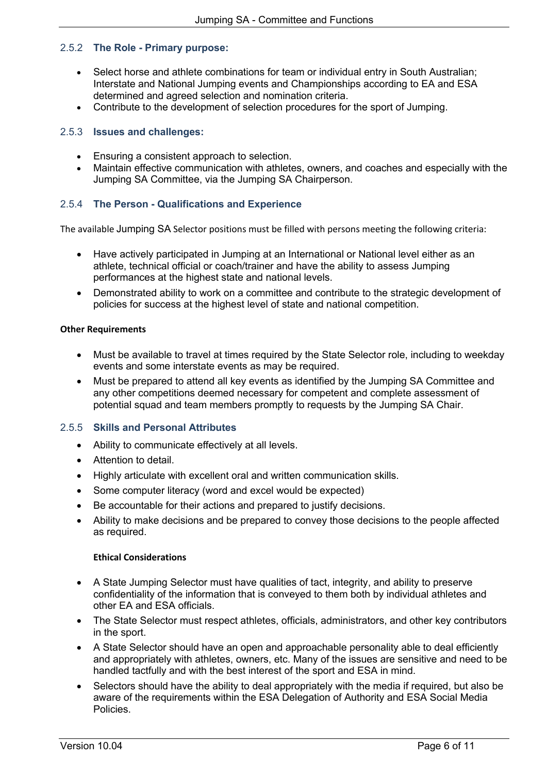### 2.5.2 **The Role - Primary purpose:**

- Select horse and athlete combinations for team or individual entry in South Australian; Interstate and National Jumping events and Championships according to EA and ESA determined and agreed selection and nomination criteria.
- Contribute to the development of selection procedures for the sport of Jumping.

## 2.5.3 **Issues and challenges:**

- Ensuring a consistent approach to selection.
- Maintain effective communication with athletes, owners, and coaches and especially with the Jumping SA Committee, via the Jumping SA Chairperson.

# 2.5.4 **The Person - Qualifications and Experience**

The available Jumping SA Selector positions must be filled with persons meeting the following criteria:

- Have actively participated in Jumping at an International or National level either as an athlete, technical official or coach/trainer and have the ability to assess Jumping performances at the highest state and national levels.
- Demonstrated ability to work on a committee and contribute to the strategic development of policies for success at the highest level of state and national competition.

#### **Other Requirements**

- Must be available to travel at times required by the State Selector role, including to weekday events and some interstate events as may be required.
- Must be prepared to attend all key events as identified by the Jumping SA Committee and any other competitions deemed necessary for competent and complete assessment of potential squad and team members promptly to requests by the Jumping SA Chair.

#### 2.5.5 **Skills and Personal Attributes**

- Ability to communicate effectively at all levels.
- Attention to detail.
- Highly articulate with excellent oral and written communication skills.
- Some computer literacy (word and excel would be expected)
- Be accountable for their actions and prepared to justify decisions.
- Ability to make decisions and be prepared to convey those decisions to the people affected as required.

#### **Ethical Considerations**

- A State Jumping Selector must have qualities of tact, integrity, and ability to preserve confidentiality of the information that is conveyed to them both by individual athletes and other EA and ESA officials.
- The State Selector must respect athletes, officials, administrators, and other key contributors in the sport.
- A State Selector should have an open and approachable personality able to deal efficiently and appropriately with athletes, owners, etc. Many of the issues are sensitive and need to be handled tactfully and with the best interest of the sport and ESA in mind.
- Selectors should have the ability to deal appropriately with the media if required, but also be aware of the requirements within the ESA Delegation of Authority and ESA Social Media Policies.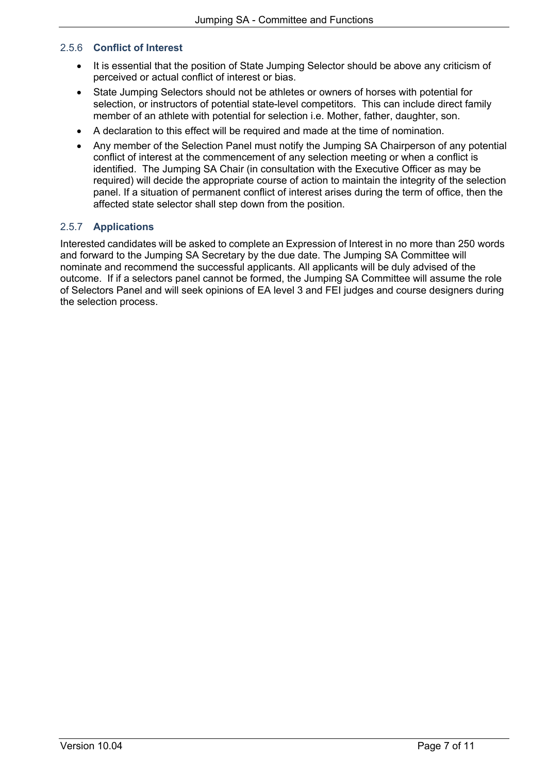### 2.5.6 **Conflict of Interest**

- It is essential that the position of State Jumping Selector should be above any criticism of perceived or actual conflict of interest or bias.
- State Jumping Selectors should not be athletes or owners of horses with potential for selection, or instructors of potential state-level competitors. This can include direct family member of an athlete with potential for selection i.e. Mother, father, daughter, son.
- A declaration to this effect will be required and made at the time of nomination.
- Any member of the Selection Panel must notify the Jumping SA Chairperson of any potential conflict of interest at the commencement of any selection meeting or when a conflict is identified. The Jumping SA Chair (in consultation with the Executive Officer as may be required) will decide the appropriate course of action to maintain the integrity of the selection panel. If a situation of permanent conflict of interest arises during the term of office, then the affected state selector shall step down from the position.

# 2.5.7 **Applications**

Interested candidates will be asked to complete an Expression of Interest in no more than 250 words and forward to the Jumping SA Secretary by the due date. The Jumping SA Committee will nominate and recommend the successful applicants. All applicants will be duly advised of the outcome. If if a selectors panel cannot be formed, the Jumping SA Committee will assume the role of Selectors Panel and will seek opinions of EA level 3 and FEI judges and course designers during the selection process.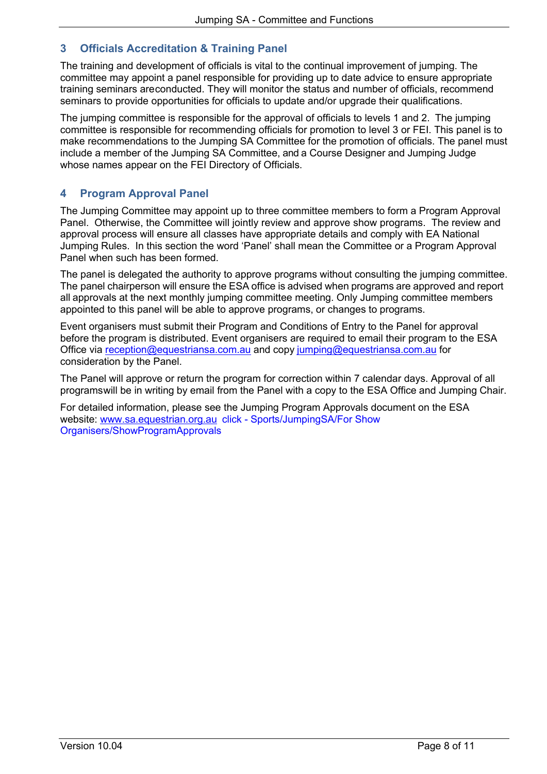# **3 Officials Accreditation & Training Panel**

The training and development of officials is vital to the continual improvement of jumping. The committee may appoint a panel responsible for providing up to date advice to ensure appropriate training seminars areconducted. They will monitor the status and number of officials, recommend seminars to provide opportunities for officials to update and/or upgrade their qualifications.

The jumping committee is responsible for the approval of officials to levels 1 and 2. The jumping committee is responsible for recommending officials for promotion to level 3 or FEI. This panel is to make recommendations to the Jumping SA Committee for the promotion of officials. The panel must include a member of the Jumping SA Committee, and a Course Designer and Jumping Judge whose names appear on the FEI Directory of Officials.

# **4 Program Approval Panel**

The Jumping Committee may appoint up to three committee members to form a Program Approval Panel. Otherwise, the Committee will jointly review and approve show programs. The review and approval process will ensure all classes have appropriate details and comply with EA National Jumping Rules. In this section the word 'Panel' shall mean the Committee or a Program Approval Panel when such has been formed.

The panel is delegated the authority to approve programs without consulting the jumping committee. The panel chairperson will ensure the ESA office is advised when programs are approved and report all approvals at the next monthly jumping committee meeting. Only Jumping committee members appointed to this panel will be able to approve programs, or changes to programs.

Event organisers must submit their Program and Conditions of Entry to the Panel for approval before the program is distributed. Event organisers are required to email their program to the ESA Office via reception@equestriansa.com.au and copy jumping@equestriansa.com.au for consideration by the Panel.

The Panel will approve or return the program for correction within 7 calendar days. Approval of all programswill be in writing by email from the Panel with a copy to the ESA Office and Jumping Chair.

For detailed information, please see the Jumping Program Approvals document on the ESA website: www.sa.equestrian.org.au click - Sports/JumpingSA/For Show Organisers/ShowProgramApprovals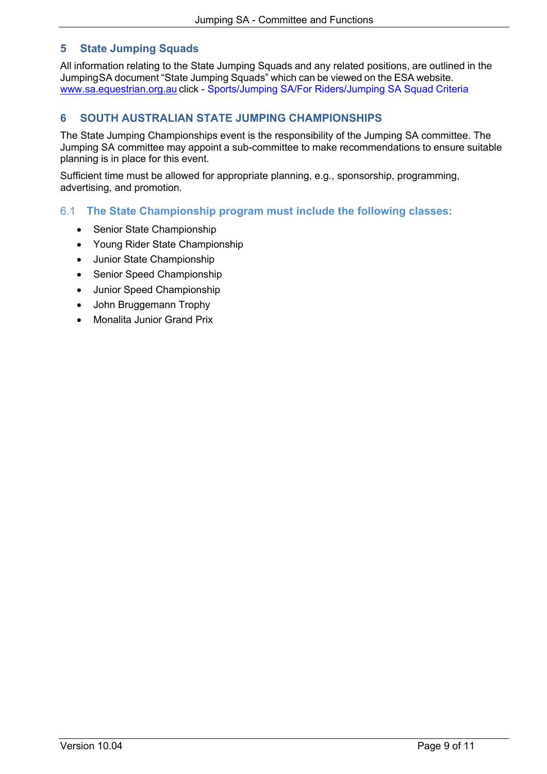# **5 State Jumping Squads**

All information relating to the State Jumping Squads and any related positions, are outlined in the JumpingSA document "State Jumping Squads" which can be viewed on the ESA website. www.sa.equestrian.org.au click - Sports/Jumping SA/For Riders/Jumping SA Squad Criteria

# **6 SOUTH AUSTRALIAN STATE JUMPING CHAMPIONSHIPS**

The State Jumping Championships event is the responsibility of the Jumping SA committee. The Jumping SA committee may appoint a sub-committee to make recommendations to ensure suitable planning is in place for this event.

Sufficient time must be allowed for appropriate planning, e.g., sponsorship, programming, advertising, and promotion.

# 6.1 **The State Championship program must include the following classes:**

- Senior State Championship
- Young Rider State Championship
- Junior State Championship
- Senior Speed Championship
- Junior Speed Championship
- John Bruggemann Trophy
- Monalita Junior Grand Prix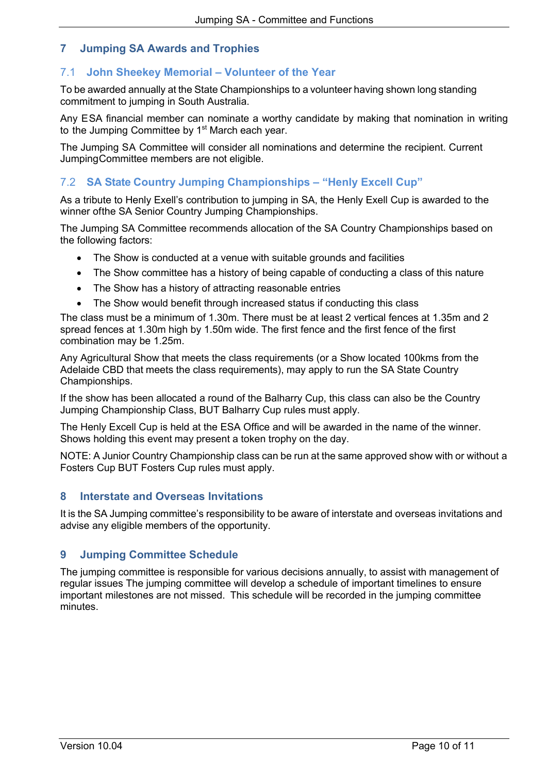# **7 Jumping SA Awards and Trophies**

# 7.1 **John Sheekey Memorial – Volunteer of the Year**

To be awarded annually at the State Championships to a volunteer having shown long standing commitment to jumping in South Australia.

Any ESA financial member can nominate a worthy candidate by making that nomination in writing to the Jumping Committee by 1<sup>st</sup> March each year.

The Jumping SA Committee will consider all nominations and determine the recipient. Current JumpingCommittee members are not eligible.

# 7.2 **SA State Country Jumping Championships – "Henly Excell Cup"**

As a tribute to Henly Exell's contribution to jumping in SA, the Henly Exell Cup is awarded to the winner ofthe SA Senior Country Jumping Championships.

The Jumping SA Committee recommends allocation of the SA Country Championships based on the following factors:

- The Show is conducted at a venue with suitable grounds and facilities
- The Show committee has a history of being capable of conducting a class of this nature
- The Show has a history of attracting reasonable entries
- The Show would benefit through increased status if conducting this class

The class must be a minimum of 1.30m. There must be at least 2 vertical fences at 1.35m and 2 spread fences at 1.30m high by 1.50m wide. The first fence and the first fence of the first combination may be 1.25m.

Any Agricultural Show that meets the class requirements (or a Show located 100kms from the Adelaide CBD that meets the class requirements), may apply to run the SA State Country Championships.

If the show has been allocated a round of the Balharry Cup, this class can also be the Country Jumping Championship Class, BUT Balharry Cup rules must apply.

The Henly Excell Cup is held at the ESA Office and will be awarded in the name of the winner. Shows holding this event may present a token trophy on the day.

NOTE: A Junior Country Championship class can be run at the same approved show with or without a Fosters Cup BUT Fosters Cup rules must apply.

# **8 Interstate and Overseas Invitations**

It is the SA Jumping committee's responsibility to be aware of interstate and overseas invitations and advise any eligible members of the opportunity.

# **9 Jumping Committee Schedule**

The jumping committee is responsible for various decisions annually, to assist with management of regular issues The jumping committee will develop a schedule of important timelines to ensure important milestones are not missed. This schedule will be recorded in the jumping committee minutes.